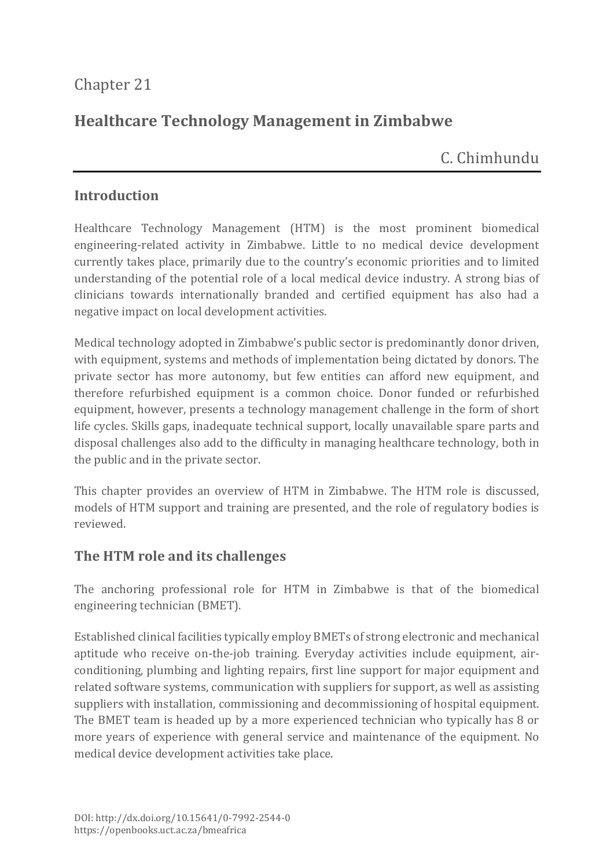## Chapter 21

# **Healthcare Technology Management in Zimbabwe**

C. Chimhundu

#### **Introduction**

Healthcare Technology Management (HTM) is the most prominent biomedical engineering-related activity in Zimbabwe. Little to no medical device development currently takes place, primarily due to the country's economic priorities and to limited understanding of the potential role of a local medical device industry. A strong bias of clinicians towards internationally branded and certified equipment has also had a negative impact on local development activities.

Medical technology adopted in Zimbabwe's public sector is predominantly donor driven, with equipment, systems and methods of implementation being dictated by donors. The private sector has more autonomy, but few entities can afford new equipment, and therefore refurbished equipment is a common choice. Donor funded or refurbished equipment, however, presents a technology management challenge in the form of short life cycles. Skills gaps, inadequate technical support, locally unavailable spare parts and disposal challenges also add to the difficulty in managing healthcare technology, both in the public and in the private sector.

This chapter provides an overview of HTM in Zimbabwe. The HTM role is discussed, models of HTM support and training are presented, and the role of regulatory bodies is reviewed.

#### **The HTM role and its challenges**

The anchoring professional role for HTM in Zimbabwe is that of the biomedical engineering technician (BMET).

Established clinical facilities typically employ BMETs of strong electronic and mechanical aptitude who receive on-the-job training. Everyday activities include equipment, airconditioning, plumbing and lighting repairs, first line support for major equipment and related software systems, communication with suppliers for support, as well as assisting suppliers with installation, commissioning and decommissioning of hospital equipment. The BMET team is headed up by a more experienced technician who typically has 8 or more years of experience with general service and maintenance of the equipment. No medical device development activities take place.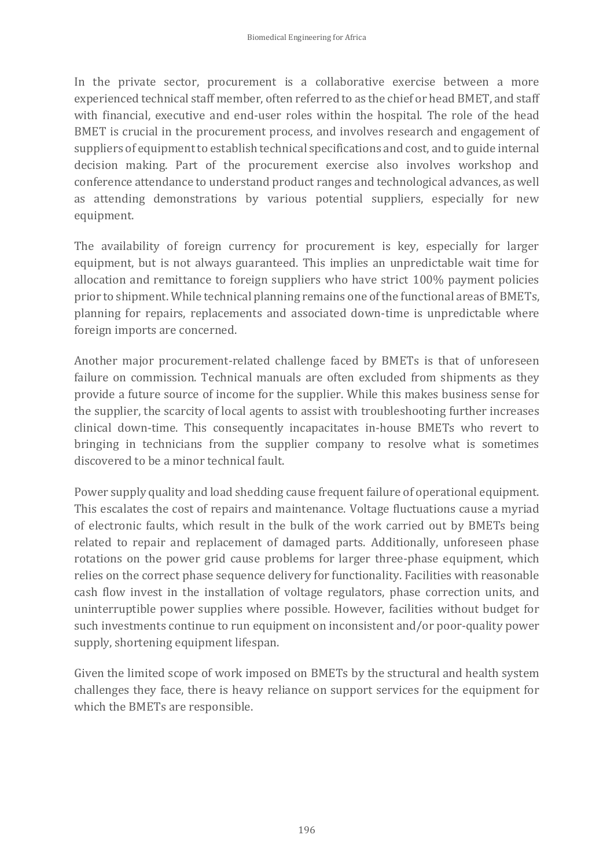In the private sector, procurement is a collaborative exercise between a more experienced technical staff member, often referred to as the chief or head BMET, and staff with financial, executive and end-user roles within the hospital. The role of the head BMET is crucial in the procurement process, and involves research and engagement of suppliers of equipment to establish technical specifications and cost, and to guide internal decision making. Part of the procurement exercise also involves workshop and conference attendance to understand product ranges and technological advances, as well as attending demonstrations by various potential suppliers, especially for new equipment.

The availability of foreign currency for procurement is key, especially for larger equipment, but is not always guaranteed. This implies an unpredictable wait time for allocation and remittance to foreign suppliers who have strict 100% payment policies prior to shipment. While technical planning remains one of the functional areas of BMETs, planning for repairs, replacements and associated down-time is unpredictable where foreign imports are concerned.

Another major procurement-related challenge faced by BMETs is that of unforeseen failure on commission. Technical manuals are often excluded from shipments as they provide a future source of income for the supplier. While this makes business sense for the supplier, the scarcity of local agents to assist with troubleshooting further increases clinical down-time. This consequently incapacitates in-house BMETs who revert to bringing in technicians from the supplier company to resolve what is sometimes discovered to be a minor technical fault.

Power supply quality and load shedding cause frequent failure of operational equipment. This escalates the cost of repairs and maintenance. Voltage fluctuations cause a myriad of electronic faults, which result in the bulk of the work carried out by BMETs being related to repair and replacement of damaged parts. Additionally, unforeseen phase rotations on the power grid cause problems for larger three-phase equipment, which relies on the correct phase sequence delivery for functionality. Facilities with reasonable cash flow invest in the installation of voltage regulators, phase correction units, and uninterruptible power supplies where possible. However, facilities without budget for such investments continue to run equipment on inconsistent and/or poor-quality power supply, shortening equipment lifespan.

Given the limited scope of work imposed on BMETs by the structural and health system challenges they face, there is heavy reliance on support services for the equipment for which the BMETs are responsible.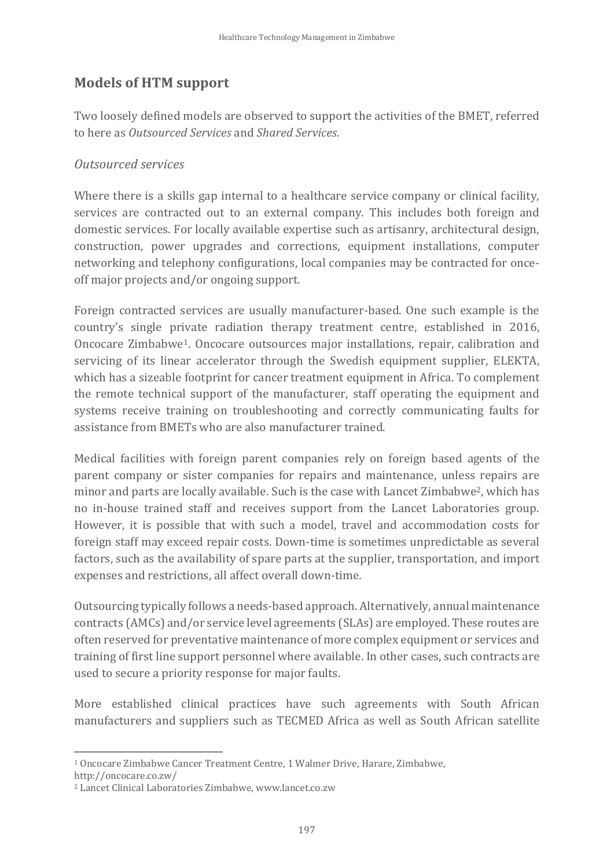### **Models of HTM support**

Two loosely defined models are observed to support the activities of the BMET, referred to here as *Outsourced Services* and *Shared Services*.

#### *Outsourced services*

Where there is a skills gap internal to a healthcare service company or clinical facility, services are contracted out to an external company. This includes both foreign and domestic services. For locally available expertise such as artisanry, architectural design, construction, power upgrades and corrections, equipment installations, computer networking and telephony configurations, local companies may be contracted for onceoff major projects and/or ongoing support.

Foreign contracted services are usually manufacturer-based. One such example is the country's single private radiation therapy treatment centre, established in 2016, Oncocare Zimbabwe1. Oncocare outsources major installations, repair, calibration and servicing of its linear accelerator through the Swedish equipment supplier, ELEKTA, which has a sizeable footprint for cancer treatment equipment in Africa. To complement the remote technical support of the manufacturer, staff operating the equipment and systems receive training on troubleshooting and correctly communicating faults for assistance from BMETs who are also manufacturer trained.

Medical facilities with foreign parent companies rely on foreign based agents of the parent company or sister companies for repairs and maintenance, unless repairs are minor and parts are locally available. Such is the case with Lancet Zimbabwe2, which has no in-house trained staff and receives support from the Lancet Laboratories group. However, it is possible that with such a model, travel and accommodation costs for foreign staff may exceed repair costs. Down-time is sometimes unpredictable as several factors, such as the availability of spare parts at the supplier, transportation, and import expenses and restrictions, all affect overall down-time.

Outsourcing typically follows a needs-based approach. Alternatively, annual maintenance contracts (AMCs) and/or service level agreements (SLAs) are employed. These routes are often reserved for preventative maintenance of more complex equipment or services and training of first line support personnel where available. In other cases, such contracts are used to secure a priority response for major faults.

More established clinical practices have such agreements with South African manufacturers and suppliers such as TECMED Africa as well as South African satellite

http://oncocare.co.zw/

<sup>1</sup> <sup>1</sup> Oncocare Zimbabwe Cancer Treatment Centre, 1 Walmer Drive, Harare, Zimbabwe,

<sup>2</sup> Lancet Clinical Laboratories Zimbabwe, www.lancet.co.zw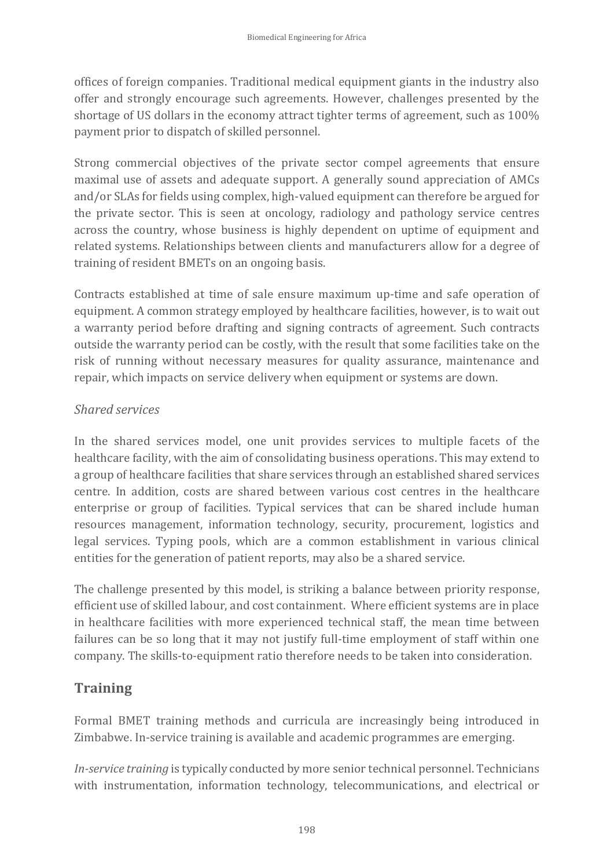offices of foreign companies. Traditional medical equipment giants in the industry also offer and strongly encourage such agreements. However, challenges presented by the shortage of US dollars in the economy attract tighter terms of agreement, such as 100% payment prior to dispatch of skilled personnel.

Strong commercial objectives of the private sector compel agreements that ensure maximal use of assets and adequate support. A generally sound appreciation of AMCs and/orSLAs for fields using complex, high-valued equipment can therefore be argued for the private sector. This is seen at oncology, radiology and pathology service centres across the country, whose business is highly dependent on uptime of equipment and related systems. Relationships between clients and manufacturers allow for a degree of training of resident BMETs on an ongoing basis.

Contracts established at time of sale ensure maximum up-time and safe operation of equipment. A common strategy employed by healthcare facilities, however, is to wait out a warranty period before drafting and signing contracts of agreement. Such contracts outside the warranty period can be costly, with the result that some facilities take on the risk of running without necessary measures for quality assurance, maintenance and repair, which impacts on service delivery when equipment or systems are down.

#### *Shared services*

In the shared services model, one unit provides services to multiple facets of the healthcare facility, with the aim of consolidating business operations. This may extend to a group of healthcare facilities that share services through an established shared services centre. In addition, costs are shared between various cost centres in the healthcare enterprise or group of facilities. Typical services that can be shared include human resources management, information technology, security, procurement, logistics and legal services. Typing pools, which are a common establishment in various clinical entities for the generation of patient reports, may also be a shared service.

The challenge presented by this model, is striking a balance between priority response, efficient use of skilled labour, and cost containment. Where efficient systems are in place in healthcare facilities with more experienced technical staff, the mean time between failures can be so long that it may not justify full-time employment of staff within one company. The skills-to-equipment ratio therefore needs to be taken into consideration.

### **Training**

Formal BMET training methods and curricula are increasingly being introduced in Zimbabwe. In-service training is available and academic programmes are emerging.

*In-service training* is typically conducted by more senior technical personnel. Technicians with instrumentation, information technology, telecommunications, and electrical or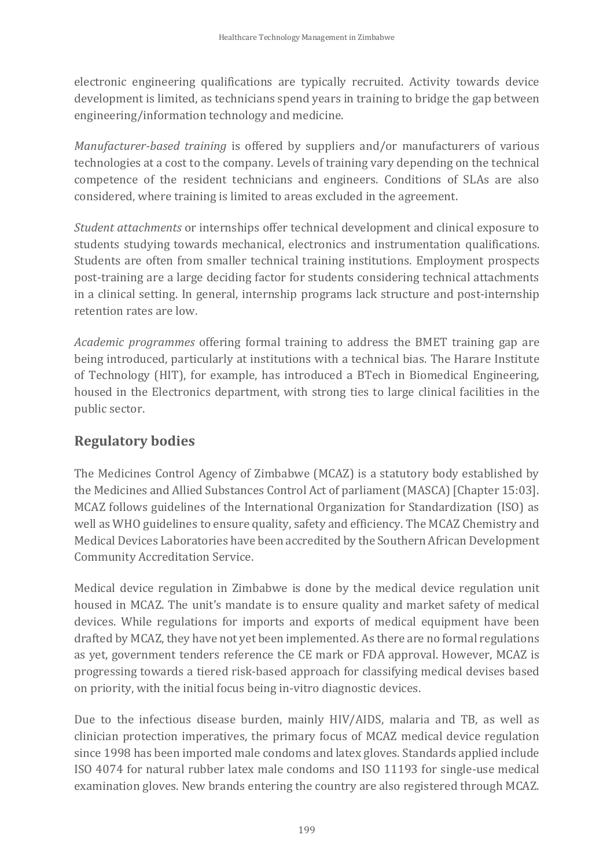electronic engineering qualifications are typically recruited. Activity towards device development is limited, as technicians spend years in training to bridge the gap between engineering/information technology and medicine.

*Manufacturer-based training* is offered by suppliers and/or manufacturers of various technologies at a cost to the company. Levels of training vary depending on the technical competence of the resident technicians and engineers. Conditions of SLAs are also considered, where training is limited to areas excluded in the agreement.

*Student attachments* or internships offer technical development and clinical exposure to students studying towards mechanical, electronics and instrumentation qualifications. Students are often from smaller technical training institutions. Employment prospects post-training are a large deciding factor for students considering technical attachments in a clinical setting. In general, internship programs lack structure and post-internship retention rates are low.

*Academic programmes* offering formal training to address the BMET training gap are being introduced, particularly at institutions with a technical bias. The Harare Institute of Technology (HIT), for example, has introduced a BTech in Biomedical Engineering, housed in the Electronics department, with strong ties to large clinical facilities in the public sector.

### **Regulatory bodies**

The Medicines Control Agency of Zimbabwe (MCAZ) is a statutory body established by the Medicines and Allied Substances Control Act of parliament (MASCA) [Chapter 15:03]. MCAZ follows guidelines of the International Organization for Standardization (ISO) as well as WHO guidelines to ensure quality, safety and efficiency. The MCAZ Chemistry and Medical Devices Laboratories have been accredited by the Southern African Development Community Accreditation Service.

Medical device regulation in Zimbabwe is done by the medical device regulation unit housed in MCAZ. The unit's mandate is to ensure quality and market safety of medical devices. While regulations for imports and exports of medical equipment have been drafted by MCAZ, they have not yet been implemented. As there are no formal regulations as yet, government tenders reference the CE mark or FDA approval. However, MCAZ is progressing towards a tiered risk-based approach for classifying medical devises based on priority, with the initial focus being in-vitro diagnostic devices.

Due to the infectious disease burden, mainly HIV/AIDS, malaria and TB, as well as clinician protection imperatives, the primary focus of MCAZ medical device regulation since 1998 has been imported male condoms and latex gloves. Standards applied include ISO 4074 for natural rubber latex male condoms and ISO 11193 for single-use medical examination gloves. New brands entering the country are also registered through MCAZ.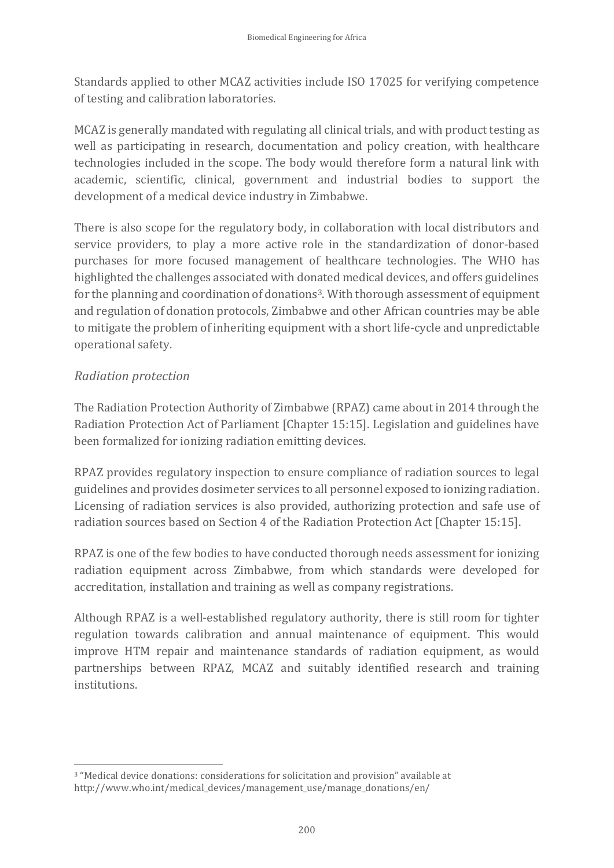Standards applied to other MCAZ activities include ISO 17025 for verifying competence of testing and calibration laboratories.

MCAZ is generally mandated with regulating all clinical trials, and with product testing as well as participating in research, documentation and policy creation, with healthcare technologies included in the scope. The body would therefore form a natural link with academic, scientific, clinical, government and industrial bodies to support the development of a medical device industry in Zimbabwe.

There is also scope for the regulatory body, in collaboration with local distributors and service providers, to play a more active role in the standardization of donor-based purchases for more focused management of healthcare technologies. The WHO has highlighted the challenges associated with donated medical devices, and offers guidelines for the planning and coordination of donations3. With thorough assessment of equipment and regulation of donation protocols, Zimbabwe and other African countries may be able to mitigate the problem of inheriting equipment with a short life-cycle and unpredictable operational safety.

#### *Radiation protection*

The Radiation Protection Authority of Zimbabwe (RPAZ) came about in 2014 through the Radiation Protection Act of Parliament [Chapter 15:15]. Legislation and guidelines have been formalized for ionizing radiation emitting devices.

RPAZ provides regulatory inspection to ensure compliance of radiation sources to legal guidelines and provides dosimeter services to all personnel exposed to ionizing radiation. Licensing of radiation services is also provided, authorizing protection and safe use of radiation sources based on Section 4 of the Radiation Protection Act [Chapter 15:15].

RPAZ is one of the few bodies to have conducted thorough needs assessment for ionizing radiation equipment across Zimbabwe, from which standards were developed for accreditation, installation and training as well as company registrations.

Although RPAZ is a well-established regulatory authority, there is still room for tighter regulation towards calibration and annual maintenance of equipment. This would improve HTM repair and maintenance standards of radiation equipment, as would partnerships between RPAZ, MCAZ and suitably identified research and training institutions.

<sup>1</sup> <sup>3</sup> "Medical device donations: considerations for solicitation and provision" available at http://www.who.int/medical\_devices/management\_use/manage\_donations/en/